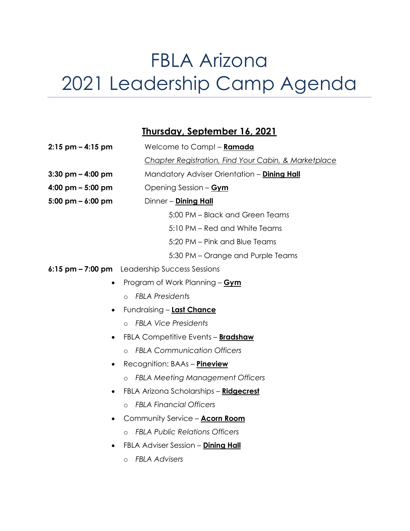## FBLA Arizona 2021 Leadership Camp Agenda

## **Thursday, September 16, 2021**

| $2:15$ pm $-4:15$ pm                | Welcome to Camp! - Ramada                            |
|-------------------------------------|------------------------------------------------------|
|                                     | Chapter Registration, Find Your Cabin, & Marketplace |
| $3:30$ pm $- 4:00$ pm               | Mandatory Adviser Orientation - Dining Hall          |
| 4:00 pm $-$ 5:00 pm                 | Opening Session - Gym                                |
| $5:00 \text{ pm} - 6:00 \text{ pm}$ | Dinner - Dining Hall                                 |
|                                     | 5:00 PM - Black and Green Teams                      |
|                                     | 5:10 PM - Red and White Teams                        |
|                                     | 5:20 PM - Pink and Blue Teams                        |
|                                     | 5:30 PM – Orange and Purple Teams                    |
|                                     | 6:15 pm - 7:00 pm Leadership Success Sessions        |
|                                     | Program of Work Planning - Gym                       |
|                                     | <b>FBLA Presidents</b><br>$\circ$                    |
|                                     | Fundraising - Last Chance                            |
|                                     | <b>FBLA Vice Presidents</b><br>$\Omega$              |
|                                     | FBLA Competitive Events - <b>Bradshaw</b>            |
|                                     | <b>FBLA Communication Officers</b><br>$\circ$        |
|                                     | Recognition: BAAs - <b>Pineview</b>                  |
|                                     | <b>FBLA Meeting Management Officers</b><br>$\Omega$  |
|                                     | FBLA Arizona Scholarships - Ridgecrest               |
|                                     | <b>FBLA Financial Officers</b><br>$\circ$            |
|                                     | Community Service - Acorn Room                       |
|                                     | <b>FBLA Public Relations Officers</b><br>$\Omega$    |
|                                     | FBLA Adviser Session - Dining Hall                   |
|                                     | <b>FBLA Advisers</b><br>$\circ$                      |
|                                     |                                                      |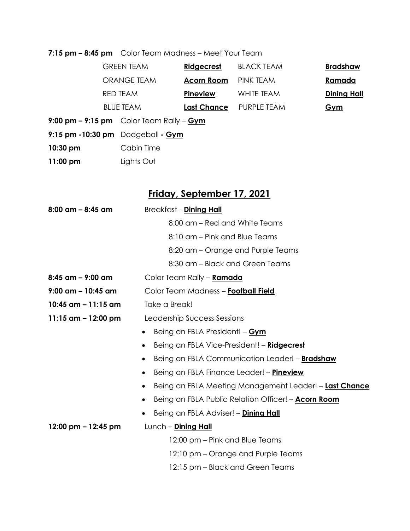**7:15 pm – 8:45 pm** Color Team Madness – Meet Your Team

|            | <b>GREEN TEAM</b>                            | Ridgecrest         | <b>BLACK TEAM</b> | <b>Bradshaw</b>    |
|------------|----------------------------------------------|--------------------|-------------------|--------------------|
|            | ORANGE TEAM                                  | <b>Acorn Room</b>  | PINK TEAM         | Ramada             |
|            | <b>RED TEAM</b>                              | Pineview           | WHITE TEAM        | <b>Dining Hall</b> |
|            | <b>BLUE TEAM</b>                             | <b>Last Chance</b> | PURPLE TEAM       | Gym                |
|            | 9:00 pm $-$ 9:15 pm Color Team Rally $-$ Gym |                    |                   |                    |
|            | $9:15$ pm $-10:30$ pm $D$ odgeball $-$ Gym   |                    |                   |                    |
| $10:30$ pm | Cabin Time                                   |                    |                   |                    |
|            |                                              |                    |                   |                    |

**11:00 pm** Lights Out

## **Friday, September 17, 2021**

| 8:00 am – 8:45 am                    | Breakfast - <b>Dining Hall</b>                                          |  |  |  |
|--------------------------------------|-------------------------------------------------------------------------|--|--|--|
|                                      | 8:00 am – Red and White Teams                                           |  |  |  |
|                                      | 8:10 am - Pink and Blue Teams                                           |  |  |  |
|                                      | 8:20 am – Orange and Purple Teams                                       |  |  |  |
|                                      | 8:30 am - Black and Green Teams                                         |  |  |  |
| $8:45$ am $-$ 9:00 am                | Color Team Rally - Ramada                                               |  |  |  |
| $9:00$ am - 10:45 am                 | Color Team Madness - Football Field                                     |  |  |  |
| 10:45 $\text{am} - 11:15 \text{ am}$ | Take a Break!                                                           |  |  |  |
| 11:15 $am - 12:00$ pm                | Leadership Success Sessions                                             |  |  |  |
|                                      | Being an FBLA President! - Gym<br>$\bullet$                             |  |  |  |
|                                      | Being an FBLA Vice-President! - Ridgecrest<br>$\bullet$                 |  |  |  |
|                                      | Being an FBLA Communication Leader! - <b>Bradshaw</b><br>$\bullet$      |  |  |  |
|                                      | Being an FBLA Finance Leader! - <b>Pineview</b><br>$\bullet$            |  |  |  |
|                                      | Being an FBLA Meeting Management Leader! - <b>Last Chance</b>           |  |  |  |
|                                      | Being an FBLA Public Relation Officer! - <b>Acorn Room</b><br>$\bullet$ |  |  |  |
|                                      | Being an FBLA Adviser! - Dining Hall<br>٠                               |  |  |  |
| 12:00 pm $-$ 12:45 pm                | Lunch - Dining Hall                                                     |  |  |  |
|                                      | 12:00 pm – Pink and Blue Teams                                          |  |  |  |
|                                      | 12:10 pm - Orange and Purple Teams                                      |  |  |  |
|                                      | 12:15 pm – Black and Green Teams                                        |  |  |  |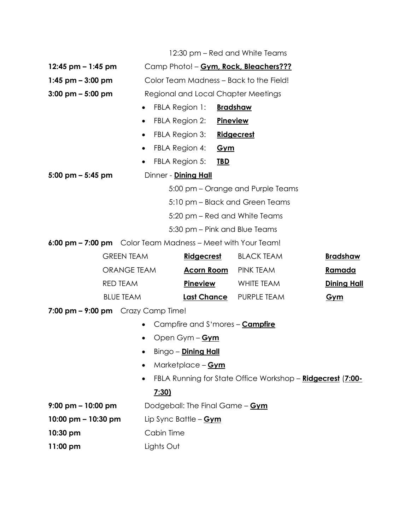|                                                             |                    |                                         |                            |                 | 12:30 pm – Red and White Teams                             |                    |
|-------------------------------------------------------------|--------------------|-----------------------------------------|----------------------------|-----------------|------------------------------------------------------------|--------------------|
| 12:45 pm $-$ 1:45 pm                                        |                    | Camp Photo! - Gym, Rock, Bleachers???   |                            |                 |                                                            |                    |
| $1:45$ pm $-3:00$ pm                                        |                    | Color Team Madness - Back to the Field! |                            |                 |                                                            |                    |
| $3:00 \text{ pm} - 5:00 \text{ pm}$                         |                    | Regional and Local Chapter Meetings     |                            |                 |                                                            |                    |
|                                                             |                    | FBLA Region 1:<br>$\bullet$             |                            | <b>Bradshaw</b> |                                                            |                    |
|                                                             |                    | FBLA Region 2:<br>$\bullet$             |                            | <b>Pineview</b> |                                                            |                    |
|                                                             |                    | $\bullet$                               | FBLA Region 3:             |                 | Ridgecrest                                                 |                    |
|                                                             |                    | FBLA Region 4:<br>$\bullet$             |                            | <u>Gym</u>      |                                                            |                    |
|                                                             |                    | FBLA Region 5:                          |                            | <u>TBD</u>      |                                                            |                    |
| $5:00 \text{ pm} - 5:45 \text{ pm}$                         |                    | Dinner - Dining Hall                    |                            |                 |                                                            |                    |
|                                                             |                    |                                         |                            |                 | 5:00 pm – Orange and Purple Teams                          |                    |
|                                                             |                    |                                         |                            |                 | 5:10 pm – Black and Green Teams                            |                    |
|                                                             |                    |                                         |                            |                 | 5:20 pm – Red and White Teams                              |                    |
|                                                             |                    |                                         |                            |                 | 5:30 pm – Pink and Blue Teams                              |                    |
| 6:00 pm - 7:00 pm Color Team Madness - Meet with Your Team! |                    |                                         |                            |                 |                                                            |                    |
|                                                             | <b>GREEN TEAM</b>  |                                         | <b>Ridgecrest</b>          |                 | <b>BLACK TEAM</b>                                          | <b>Bradshaw</b>    |
|                                                             | <b>ORANGE TEAM</b> |                                         | <b>Acorn Room</b>          |                 | PINK TEAM                                                  | <u>Ramada</u>      |
|                                                             | <b>RED TEAM</b>    |                                         | <b>Pineview</b>            |                 | WHITE TEAM                                                 | <b>Dining Hall</b> |
|                                                             | <b>BLUE TEAM</b>   |                                         | <b>Last Chance</b>         |                 | PURPLE TEAM                                                | <u>Gym</u>         |
| 7:00 pm $-$ 9:00 pm Crazy Camp Time!                        |                    |                                         |                            |                 |                                                            |                    |
|                                                             |                    | $\bullet$                               |                            |                 | Campfire and S'mores - <b>Campfire</b>                     |                    |
|                                                             |                    |                                         | Open Gym - Gym             |                 |                                                            |                    |
|                                                             |                    | $\bullet$                               | Bingo - <b>Dining Hall</b> |                 |                                                            |                    |
|                                                             |                    |                                         | Marketplace - Gym          |                 |                                                            |                    |
|                                                             |                    | $\bullet$                               |                            |                 | FBLA Running for State Office Workshop - Ridgecrest (7:00- |                    |
|                                                             |                    | 7:30                                    |                            |                 |                                                            |                    |
| $9:00 \text{ pm} - 10:00 \text{ pm}$                        |                    | Dodgeball: The Final Game - Gym         |                            |                 |                                                            |                    |
| 10:00 pm $-$ 10:30 pm                                       |                    | Lip Sync Battle - <b>Gym</b>            |                            |                 |                                                            |                    |
| 10:30 pm                                                    |                    | Cabin Time                              |                            |                 |                                                            |                    |

**11:00 pm** Lights Out